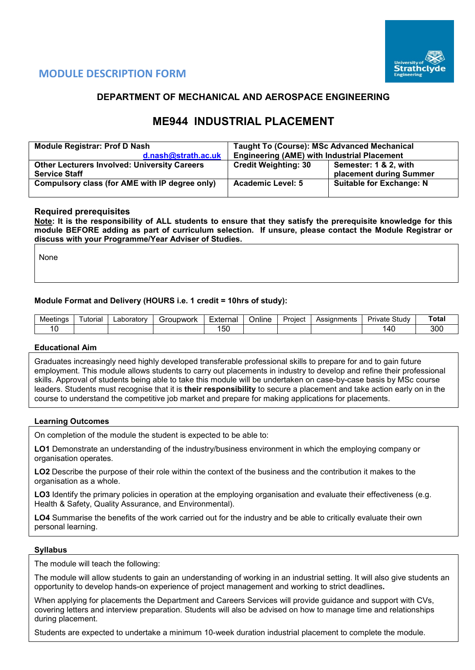

## **MODULE DESCRIPTION FORM**

### **DEPARTMENT OF MECHANICAL AND AEROSPACE ENGINEERING**

# **ME944 INDUSTRIAL PLACEMENT**

| <b>Module Registrar: Prof D Nash</b>                | <b>Taught To (Course): MSc Advanced Mechanical</b> |                                 |  |  |  |  |
|-----------------------------------------------------|----------------------------------------------------|---------------------------------|--|--|--|--|
| d.nash@strath.ac.uk                                 | <b>Engineering (AME) with Industrial Placement</b> |                                 |  |  |  |  |
| <b>Other Lecturers Involved: University Careers</b> | <b>Credit Weighting: 30</b>                        | Semester: 1 & 2, with           |  |  |  |  |
| <b>Service Staff</b>                                |                                                    | placement during Summer         |  |  |  |  |
| Compulsory class (for AME with IP degree only)      | <b>Academic Level: 5</b>                           | <b>Suitable for Exchange: N</b> |  |  |  |  |
|                                                     |                                                    |                                 |  |  |  |  |

#### **Required prerequisites**

**Note: It is the responsibility of ALL students to ensure that they satisfy the prerequisite knowledge for this module BEFORE adding as part of curriculum selection. If unsure, please contact the Module Registrar or discuss with your Programme/Year Adviser of Studies.** 

None

#### **Module Format and Delivery (HOURS i.e. 1 credit = 10hrs of study):**

| Meetings | utoria | ∟aboratory | upwork<br>`rour. | Externa    | $\cdots$<br>Online | Project | Assignments | $C+$<br>Private<br>study. | `ota⊦      |
|----------|--------|------------|------------------|------------|--------------------|---------|-------------|---------------------------|------------|
|          |        |            |                  | $-$<br>ັບປ |                    |         |             | $\sqrt{ }$<br>᠇ᡆ          | nnn<br>งบบ |

#### **Educational Aim**

Graduates increasingly need highly developed transferable professional skills to prepare for and to gain future employment. This module allows students to carry out placements in industry to develop and refine their professional skills. Approval of students being able to take this module will be undertaken on case-by-case basis by MSc course leaders. Students must recognise that it is **their responsibility** to secure a placement and take action early on in the course to understand the competitive job market and prepare for making applications for placements.

#### **Learning Outcomes**

On completion of the module the student is expected to be able to:

**LO1** Demonstrate an understanding of the industry/business environment in which the employing company or organisation operates.

**LO2** Describe the purpose of their role within the context of the business and the contribution it makes to the organisation as a whole.

LO3 Identify the primary policies in operation at the employing organisation and evaluate their effectiveness (e.g. Health & Safety, Quality Assurance, and Environmental).

**LO4** Summarise the benefits of the work carried out for the industry and be able to critically evaluate their own personal learning.

#### **Syllabus**

The module will teach the following:

The module will allow students to gain an understanding of working in an industrial setting. It will also give students an opportunity to develop hands-on experience of project management and working to strict deadlines**.**

When applying for placements the Department and Careers Services will provide guidance and support with CVs, covering letters and interview preparation. Students will also be advised on how to manage time and relationships during placement.

Students are expected to undertake a minimum 10-week duration industrial placement to complete the module.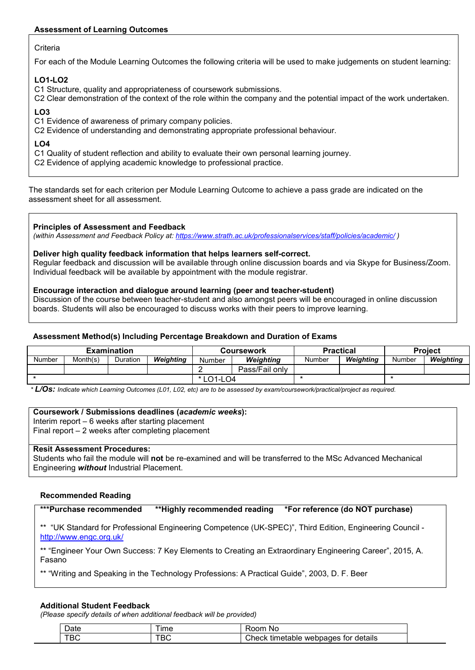#### **Assessment of Learning Outcomes**

#### **Criteria**

For each of the Module Learning Outcomes the following criteria will be used to make judgements on student learning:

#### **LO1-LO2**

C1 Structure, quality and appropriateness of coursework submissions.

C2 Clear demonstration of the context of the role within the company and the potential impact of the work undertaken.

### **LO3**

C1 Evidence of awareness of primary company policies.

C2 Evidence of understanding and demonstrating appropriate professional behaviour.

#### **LO4**

C1 Quality of student reflection and ability to evaluate their own personal learning journey.

C2 Evidence of applying academic knowledge to professional practice.

The standards set for each criterion per Module Learning Outcome to achieve a pass grade are indicated on the assessment sheet for all assessment.

#### **Principles of Assessment and Feedback**

*(within Assessment and Feedback Policy at: <https://www.strath.ac.uk/professionalservices/staff/policies/academic/> )*

#### **Deliver high quality feedback information that helps learners self-correct.**

Regular feedback and discussion will be available through online discussion boards and via Skype for Business/Zoom. Individual feedback will be available by appointment with the module registrar.

#### **Encourage interaction and dialogue around learning (peer and teacher-student)**

Discussion of the course between teacher-student and also amongst peers will be encouraged in online discussion boards. Students will also be encouraged to discuss works with their peers to improve learning.

#### **Assessment Method(s) Including Percentage Breakdown and Duration of Exams**

|        |          | <b>Examination</b> |           |        | Coursework       | <b>Practical</b> |           | <b>Project</b> |           |
|--------|----------|--------------------|-----------|--------|------------------|------------------|-----------|----------------|-----------|
| Number | Month(s) | Duration           | Weighting | Number | <b>Weighting</b> | Number           | Weighting | Number         | Weighting |
|        |          |                    |           |        | Pass/Fail only   |                  |           |                |           |
|        |          |                    | LO1-LO4   |        |                  |                  |           |                |           |

*\* L/Os: Indicate which Learning Outcomes (L01, L02, etc) are to be assessed by exam/coursework/practical/project as required.*

#### **Coursework / Submissions deadlines (***academic weeks***):**

Interim report – 6 weeks after starting placement

Final report – 2 weeks after completing placement

#### **Resit Assessment Procedures:**

Students who fail the module will **not** be re-examined and will be transferred to the MSc Advanced Mechanical Engineering *without* Industrial Placement.

#### **Recommended Reading**

**\*\*\*Purchase recommended \*\*Highly recommended reading \*For reference (do NOT purchase)**

\*\* "UK Standard for Professional Engineering Competence (UK-SPEC)", Third Edition, Engineering Council <http://www.engc.org.uk/>

\*\* "Engineer Your Own Success: 7 Key Elements to Creating an Extraordinary Engineering Career", 2015, A. Fasano

\*\* "Writing and Speaking in the Technology Professions: A Practical Guide", 2003, D. F. Beer

#### **Additional Student Feedback**

*(Please specify details of when additional feedback will be provided)*

| ⊃ate | ıme | ററന്ന<br>.NG                                 |
|------|-----|----------------------------------------------|
| BС   |     | じheck<br>webpages for details ›<br>timetable |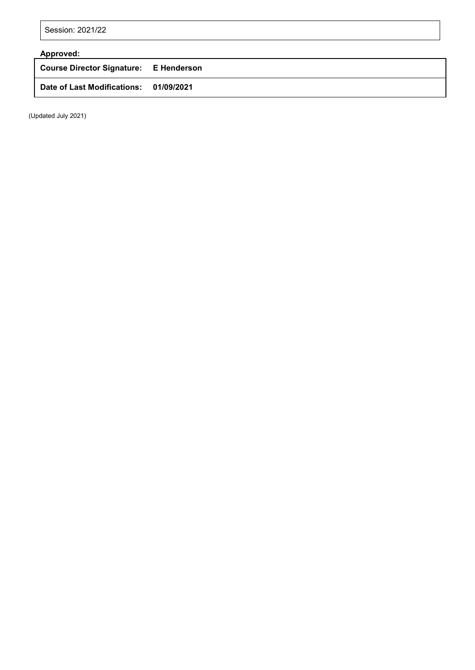Session: 2021/22

# **Approved:**

**Course Director Signature: E Henderson Date of Last Modifications: 01/09/2021**

(Updated July 2021)